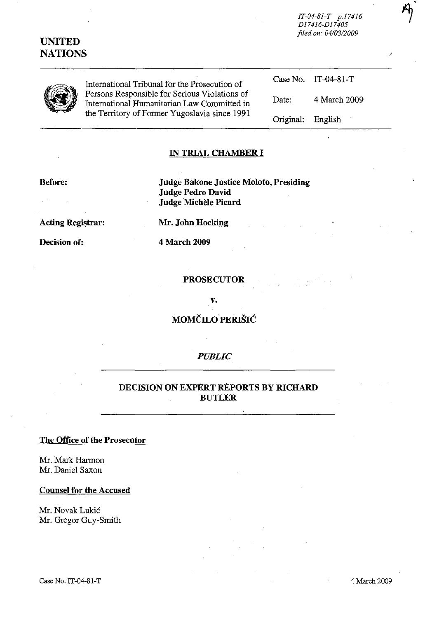# **UNITED NATIONS** /

*IT-04-81-T p.174l6 D174l6-Dl7405 filed on: 0410312009*

|--|

International Tribunal for the Prosecution of Persons Responsible for Serious Violations of International Humanitarian Law Committed in the Territory of Former Yugoslavia since 1991

Case No. IT-04-81-T Date: Original: 4 March 2009 English

### **IN TRIAL CHAMBER I**

#### **Before:**

**Judge Bakone Justice Moloto, Presiding Judge Pedro David** Judge Michele **Picard**

**Acting Registrar:**

**Decision of:**

**Mr. John Hocking** 

4 March 2009

### **PROSECUTOR**

V.

**MOMČILO PERIŠIĆ** 

### *PUBLIC*

## **DECISION ON EXPERT REPORTS BY RICHARD BUTLER**

### **The Office of the Prosecutor**

Mr. Mark Harmon Mr. Daniel Saxon

**Counsel for the Accused**

Mr. Novak Lukic Mr. Gregor Guy-Smith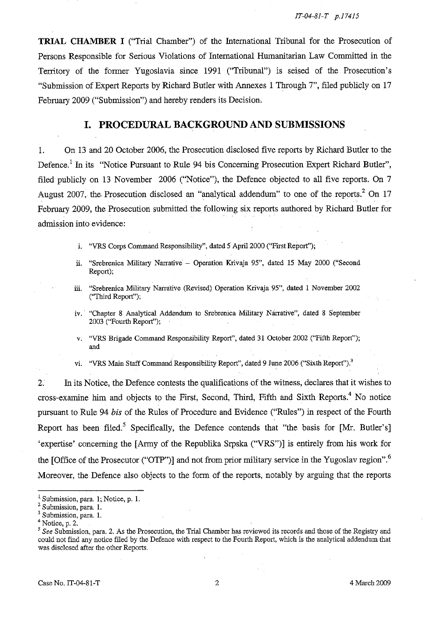**TRIAL CHAMBER I** ("Trial Chamber") of the International Tribunal for the Prosecution of Persons Responsible for Serious Violations of International Humanitarian Law Committed in the Territory of the fanner Yugoslavia since 1991 ("Tribunal") is seised of the Prosecution's "Submission of Expert Reports by Richard Butler with Annexes 1 Through 7", filed publicly on 17 February 2009 ("Submission") and hereby renders its Decision.

### **I. PROCEDURAL BACKGROUND AND SUBMISSIONS**

1. On 13 and 20 October 2006, the Prosecution disclosed five reports by Richard Butler to the Defence.<sup>1</sup> In its "Notice Pursuant to Rule 94 bis Concerning Prosecution Expert Richard Butler", filed publicly on 13 November 2006 ("Notice"), the Defence objected to all five reports. On 7 August 2007, the Prosecution disclosed an "analytical addendum" to one of the reports.<sup>2</sup> On 17 February 2009, the Prosecution submitted the following six reports authored by Richard Butler for admission into evidence:

- i. "VRS Corps Command Responsibility", dated 5 April 2000 ("First Report");
- ii. "Srebrenica Military Narrative Operation Krivaja 95", dated 15 May 2000 ("Second Report);
- iii. "Srebrenica Military Narrative (Revised) Operation Krivaja 95", dated I November 2002 ("Tbird Report");
- iv.· "Chapter 8 Analytical Addendum to Srebrenica Military Narrative", dated 8 September 2003 ("Fourth Report");
- v. "VRS Brigade Command Responsibility Report", dated 31 October 2002 ("Fifth Report"); and
- vi. "VRS Main Staff Command Responsibility Report", dated 9 June 2006 ("Sixth Report").<sup>3</sup>

2. In its Notice, the Defence contests the qualifications of the witness, declares that it wishes to cross-examine him and objects to the First, Second, Third, Fifth and Sixth Reports." No notice pursuant to Rule 94 *bis* of the Rules of Procedure and Evidence ("Rules") in respect of the Fourth Report has been filed.<sup>5</sup> Specifically, the Defence contends that "the basis for  $[Mr. Butler's]$ " 'expertise' concerning the [Army of the Republika Srpska ("VRS")] is entirely from his work for the [Office of the Prosecutor ("OTP")] and not from prior military service in the Yugoslav region".<sup>6</sup> Moreover, the Defence also objects to the form of the reports, notably by arguing that the reports

<sup>&</sup>lt;sup>1</sup> Submission, para. 1; Notice, p. 1.

**<sup>2</sup> Submission, para. 1.**

Submission, para. 1.

 $<sup>4</sup>$  Notice, p. 2.</sup>

<sup>&</sup>lt;sup>5</sup> See Submission, para. 2. As the Prosecution, the Trial Chamber has reviewed its records and those of the Registry and could not find any notice filed by the Defence with respect to the Fourth Report, which is the analytical addeudum that was disclosed after the other Reports.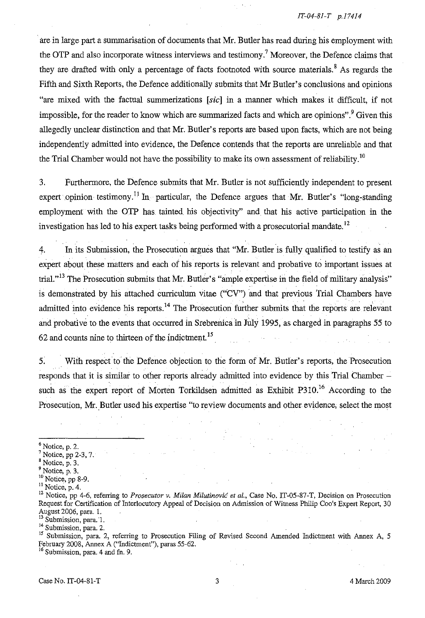are in large part a summarisation of documents that Mr. Butler has read during his employment with the OTP and also incorporate witness interviews and testimony.<sup>7</sup> Moreover, the Defence claims that they are drafted with only a percentage of facts footnoted with source materials.<sup>8</sup> As regards the Fifth and Sixth Reports, the Defence additionally submits that Mr Butler's conclusions and opinions "are mixed with the factual summerizations [sic] in a manner which makes it difficult, if not impossible, for the reader to know which are summarized facts and which are opinions".<sup>9</sup> Given this allegedly unclear distinction and that Mr. Butler's reports are based upon facts, which are not being independently admitted into evidence, the Defence contends that the reports are uureliable and that the Trial Chamber would not have the possibility to make its own assessment of reliability.<sup>10</sup>

3. Furthermore, the Defence submits that Mr. Butler is not sufficiently independent to present expert opinion testimony.<sup>11</sup> In particular, the Defence argues that Mr. Butler's "long-standing" employment with the OTP has tainted. his objectivity" and that his active participation in the investigation has led to his expert tasks being performed with a prosecutorial mandate.<sup>12</sup>

4. In its Submission, the Prosecution argues that "Mr. Butler is fully qualified to testify as an expert about these matters and each of his reports is relevant and probative to important issues at trial.<sup>113</sup> The Prosecution submits that Mr. Butler's "ample expertise in the field of military analysis" is demonstrated by his attached curriculum vitae ("CV") and that previous Trial Chambers have admitted into evidence his reports.<sup>14</sup> The Prosecution further submits that the reports are relevant and probative to the events that occurred in Srebrenica in July 1995, as charged in paragraphs 55 to  $62$  and counts nine to thirteen of the indictment.<sup>15</sup>

5. With respect to the Defence objection to the form of Mr. Butler's reports, the Prosecution responds that it is similar to other reports already admitted into evidence by this Trial Chamber – such as the expert report of Morten Torkildsen admitted as Exhibit P310.<sup>16</sup> According to the Prosecution, Mr. Butler used his expertise "to review documents and other evidence, select the most

<sup>15</sup> Submission, para. 2, referring to Prosecution Filing of Revised Second Amended Indictment with Annex A, 5 February 2008, Annex A ("Indictment"), paras 55-62.

<sup>16</sup> Submission, para. 4 and fn. 9.

 $<sup>6</sup>$  Notice, p. 2.</sup>

 $<sup>7</sup>$  Notice, pp 2-3, 7.</sup>

 $8$  Notice, p. 3.

 $<sup>9</sup>$  Notice, p. 3.</sup>

 $10$  Notice, pp 8-9.

 $\frac{11}{11}$  Notice, p. 4.

<sup>12</sup> Notice, pp 4-6, referring to *Prosecutor v. Milan Milutinovic et al.,* Case No. IT-05-87-T, Decision on Prosecution Request for Certification of Interlocutory Appeal of Decision on Admission of Witness Philip Coo's Expert Report, 30 August 2006, para. l.

Submission, para. 1.

<sup>&</sup>lt;sup>14</sup> Submission, para. 2.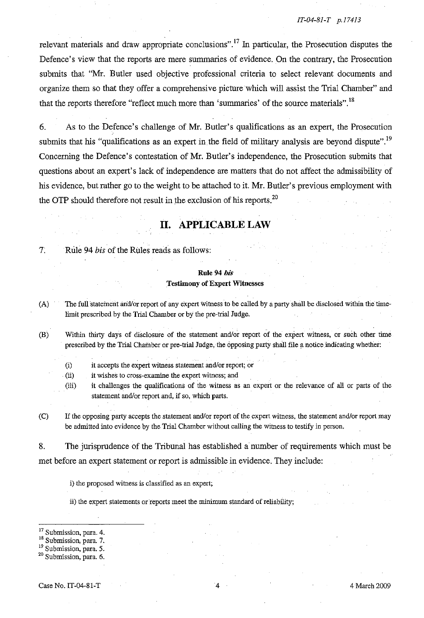relevant materials and draw appropriate conclusions".<sup>17</sup> In particular, the Prosecution disputes the Defence's view that the reports are mere summaries of evidence. On the contrary, the Prosecution submits that "Mr. Butler used objective professional criteria to select relevant documents and organize them so that they offer a comprehensive picture which will assist the Trial Chamber" and that the reports therefore "reflect much more than 'summaries' of the source materials".<sup>18</sup>

6. As to the Defence's challenge of Mr. Butler's qualifications as an expert, the Prosecution submits that his "qualifications as an expert in the field of military analysis are beyond dispute".<sup>19</sup> Concerning the Defence's contestation of Mr. Butler's independence, the Prosecution submits that questions about an expert's lack of independence are matters that do not affect the admissibility of his evidence, but rather go to the weight to be attached to it. Mr. Butler's previous employment with the OTP should therefore not result in the exclusion of his reports.<sup>20</sup>

## **II. APPLICABLE LAW**

7: Rule 94 *his* of the Rules reads as follows:

### **Rule** 94 *his* Testimony of Expert Witnesses

(A) The full statement and/or report of any expert witness to be called by a party shall be disclosed within the timelimit prescribed by the Trial Chamber or by the pre-trial Judge.

- (B) Within thirty days of disclosure of the statement and/or report of the expert witness, or such other time prescribed by the Trial Chamber or pre-trial Judge, the opposing party shaJlfile a notice indicating whether:
	- (i) it accepts the expert witness statement andlor report; or

(ii) it wishes to cross-examine the expert witness; and

- (iii) it challenges the qualifications of the witness as an expert or the relevance of ali or parts of the statement and/or report and, if so, which parts.
- (C) If the opposing party accepts the statement andlor report of the expert witness, the statement andlor report may be admitted into evidence by the Trial Chamber without calling the witness to testify in person.

8. The jurisprudence of the Tribunal has established a number of requirements which must be met before an expert statement or report is admissible in evidence. They include:

i) the proposed witness is classified as an expert;

ii) the expert statements or reports meet the minimum standard of reliability;

<sup>19</sup> Submission, para. 5.

<sup>20</sup> Submission, para. 6.

**<sup>17</sup> Submission, para. 4.**

<sup>&</sup>lt;sup>18</sup> Submission, para. 7.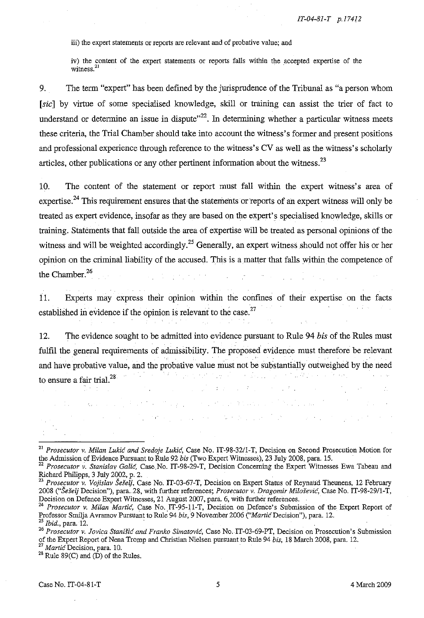iii) the expert statements or reports are relevant and of probative value; and

iv) the content of the expert statements or reports falls within the accepted expertise of the witness.<sup>21</sup>

9. The term "expert" has been defined by the jurisprudence of the Tribunal as "a person whom [sic] by virtue of some specialised knowledge, skill or training can assist the trier of fact to understand or determine an issue in dispute<sup> $22$ </sup>. In determining whether a particular witness meets these criteria, the Trial Chamber should take into account the witness's former and present positions and professional experience through reference to the witness's CV as well as the witness's scholarly articles, other publications or any other pertinent information about the witness.<sup>23</sup>

10. The content of the statement or report must fall within the expert witness's area of expertise.<sup>24</sup> This requirement ensures that the statements or reports of an expert witness will only be treated as expert evidence, insofar as they are based on the expert's specialised knowledge, skills or training. Statements that fall outside the area of expertise will be treated as personal opinions of the witness and will be weighted accordingly.<sup>25</sup> Generally, an expert witness should not offer his or her opinion on the criminal liability of the accused. This is a matter that falls within the competence of the Chamber.<sup>26</sup>

11. Experts may express their opimon within the confines of their expertise on the facts established in evidence if the opinion is relevant to the case. $27$ 

12. The evidence sought to be admitted into evidence pursuant to Rule 94 *bis* of the Rules must fulfil the general requirements of admissibility. The proposed evidence must therefore be relevant and have probative value, and the probative value must not be substantially outweighed by the need to ensure a fair trial.<sup>28</sup>

.<br>Listo in

 $\mathcal{L}_{\rm{max}}$  , and  $\mathcal{L}_{\rm{max}}$ 

 $\sim 10^{11}$  and  $\sim 10^{11}$  . We have a set of  $\sim 10^{11}$ 

Service State Control

anger and

<sup>21</sup> *Prosecutor v. Milan Lukic and Sredoje Lukic,* Case No. IT-98-32/l-T, Decision on Second Prosecution Motion for the Admission of Evidence Pursuant to Rnle 92 *bis* (Two Expert Witnesses), 23 July 2008, para. 15.

<sup>22</sup> *Prosecutor v. Stanislav Galic,* Case.No. IT-98-29-T, Decision Concerning the Expert Witnesses Ewa Tabeau and Richard Philipps, 3 July 2002, p. 2.

<sup>&</sup>lt;sup>23</sup> Prosecutor v. Vojislav Šešelj, Case No. IT-03-67-T, Decision on Expert Status of Reynaud Theunens, 12 February *2008 ("Se:fe/j* Decision"), para. 28, with further references; *Prosecutor v. Dragomir Milosevic,* Case No. IT-98-29/1-T, Decision on Defence Expert Witnesses, 21 August 2007, para. 6, with further references. .

<sup>24</sup> *Prosecutor v. Milan Martie,* Case No. IT-95-11-T, Decision on Defence's Submission of the Expert Report of Professor Smilja Avrarnov Pursuant to Rule 94 *bis,* 9 November 2006 *("Martie* Decision"), para. 12. Social Courty Decision 3, paramo, want rather references, a robection of Dragomer Milosevia<br>Decision on Defence Expert Witnesses, 21 August 2007, para. 6, with further references.<br><sup>24</sup> *Prosecutor v. Milan Martic*, Case No

**<sup>26</sup>** *Prosecutor* **v.** *Jovica Stanisic and Franko Simatovic,* **Case No ..IT-03-69-PT, Decision on Prosecution's Submission** of the Expert Report of Nena Tromp and Christian Nielsen pursuant to Rule 94 *bis,* 18 March 2008, para. 12.

<sup>27</sup> *Martie* Decision, para. 10.

<sup>&</sup>lt;sup>28</sup> Rule 89(C) and  $(D)$  of the Rules.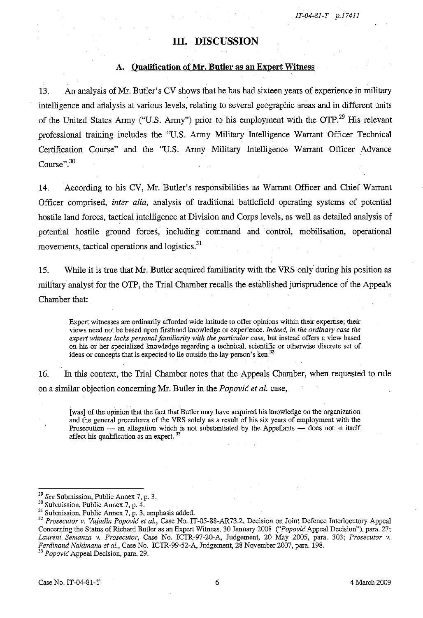### **III. DISCUSSION**

#### **A. Qualification of Mr. Butler as an Expert Witness**

13. **An** analysis of Mr. Butler's CV shows that he has had sixteen years of experience in military intelligence and analysis at various levels, relating to several geographic areas and in different units of the United States Army ("U.S. Army") prior to his employment with the OTP.<sup>29</sup> His relevant professional training includes the "U.S. Army Military Intelligence Warrant Officer Technical Certification Course" and the "U.S. Army Military Intelligence Warrant Officer Advance Course".<sup>30</sup>

14. According to his CV, Mr. Butler's responsibilities as Warrant Officer and Chief Warrant Officer comprised, *inter alia,* analysis of traditional battlefield operating systems of potential hostile land forces, tactical intelligence at Division and Corps levels, as well as detailed analysis of potential hostile ground forces, including command and control, mobilisation, operational movements, tactical operations and logistics.<sup>31</sup>

15. While it is true that Mr. Butler acquired familiarity with the VRS only during his position as military analyst for the OTP, the Trial Chamber recalls the established jurisprudence of the Appeals Chamber that:

Expert witnesses are ordinarily afforded wide latitude to offer opinions within their expertise; their views need not be based npon firsthand knowledge or experience. *Indeed. in the ordinary case the expert witness lacks personal familiarity with the particular case.* but instead offers a view based on his or her specialized knowledge regarding a technical, scientific or otherwise discrete set of ideas or concepts that is expected to lie outside the lay person's ken.<sup>32</sup>

16. In this context, the Trial Chamber notes that the Appeals Chamber, when requested to rule on a similar objection concemingMr. Butler in the *Popovic et at.* case,

[was] of the opinion that the fact that Butler may have acquired his knowledge on the organization and the general procedures of the VRS solely as a result of his six years of employment with the Prosecution - an allegation which is not substantiated by the Appellants - does not in itself affect his qualification as an expert. <sup>33</sup>

*<sup>29</sup> See* Submission, Public Annex 7, p. 3.

 $30$  Submission, Public Annex 7, p. 4.

 $31$  Submission, Public Annex 7, p. 3, emphasis added.

<sup>32</sup> *Prosecutor v. Vujadin Popovic et al.,* Case No. IT-05-88-AR73.2, Decision on Joint Defence Interlocutory Appeal Concerning the Status of Richard Butler as an Expert Witness, 30 January 2008 *("Popovic* Appeal Decision"), para. 27; *Laurent Semanza v. Prosecutor,* Case No. ICTR-97-20-A, Judgement, 20 May 2005, para. 303; *Prosecutor v. Ferdinand Nahimana et al.,* Case No. ICTR-99-52-A, Judgement, 28 November 2007, para. 198.

<sup>33</sup> *Popovic* Appeal Decision, para. 29.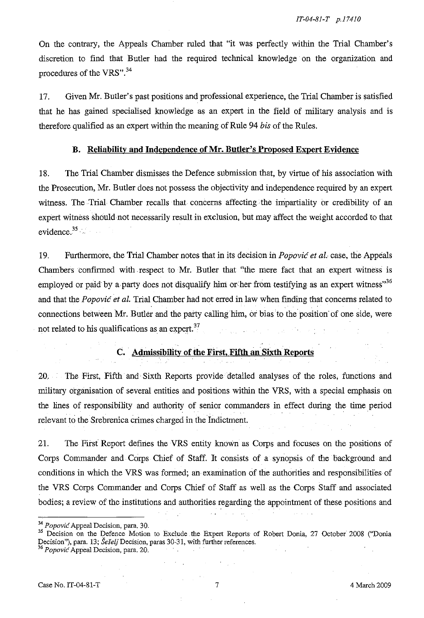On the contrary, the Appeals Chamber ruled that "it was perfectly within the Trial Chamber's discretion to find that Butler had the required technical knowledge on the organization and procedures of the VRS".<sup>34</sup>

17. Given Mr. Butler's past positions and professional experience, the Trial Chamber is satisfied that he has gained specialised knowledge as an expert in the field of military analysis and is therefore qualified as an expert within the meaning of Rule 94 *bis* of the Rules.

### **B. Reliability and Independence** of Mr. **Butler's Proposed Expert Evidence**

18. The Trial Chamber dismisses the Defence submission that, by virtue of his association with the Prosecution, Mr. Butler does not possess the objectivity and independence required by an expert witness. The Trial Chamber recalls that concerns affecting the impartiality or credibility of an expert witness should not necessarily result in exclusion, but may affect the weight accorded to that evidence. $35$ 

19. Furthermore, the Trial Chamber notes that in its decision in *Popovic et al.* case, the Appeals Chambers confirmed with. respect to Mr. Butler that "the mere fact that an expert witness is employed or paid by a party does not disqualify him or her from testifying as an expert witness"<sup>36</sup> and that the *Popovic et al.* Trial Chamber had not erred in law when finding that concerns related to connections between Mr. Butler and the party calling him, or bias to the position of one side, were not related to his qualifications as an expert. $37$ 

## **C.** Admissibility of the First, Fifth an Sixth Reports

20. The First, Fifth and Sixth Reports provide detailed analyses of the roles, functions and military organisation of several entities and positions within the VRS, with a special emphasis on the lines of responsibility and authority of senior commanders in effect during the time period relevant to the Srebrenica crimes charged in the Indictment.

21. The First Report defines the VRs entity known as Corps and focuses on the positions of Corps Commander and Corps Chief of Staff. It consists of a synopsis of the background and conditions in which the VRS was formed; an examination of the authorities and responsibilities of the VRS Corps Commander and Corps Chief of Staff as well as the Corps Staff and associated bodies; a review of the institutions and authorities regarding the appointment of these positions and

<sup>35</sup> Decision on the Defence Motion to Exclude the Expert Reports of Robert Donia, 27 October 2008 ("Donia Decision"), para. 13; *Šešelj* Decision, paras 30-31, with further references. <sup>36</sup> *Popovic*Appeal Decision, para. 20.

Case No.lT-04-81-T 7 4 March 2009

<sup>34</sup> *Popovic*Appeal Decision, para. 30.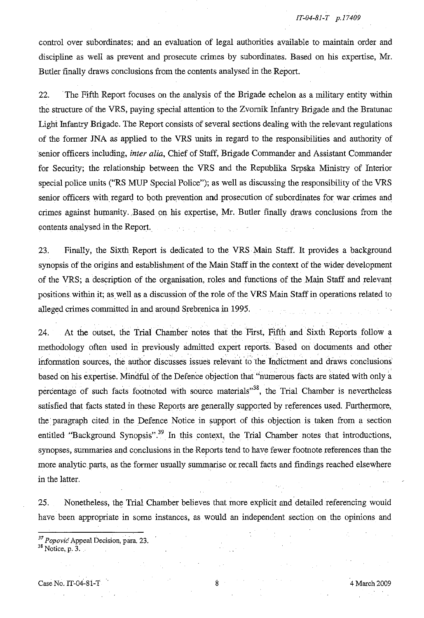*IT-04-81-T p.17409*

control over subordinates; and an evaluation of legal authorities available to maintain order and discipline as well as prevent and prosecute crimes by subordinates. Based on his expertise, Mr. Butler finally draws conclusions from the contents analysed in the Report.

22. The Fifth Report focuses on the analysis of the Brigade echelon as a military entity within the structure of the VRS, paying special attention to the Zvomik Infantry Brigade and the Bratunac Light Infantry Brigade. The Report consists of several sections dealing with the relevant regulations of the former INA as applied to the VRS units in regard to the responsibilities and authority of senior officers including, *inter alia,* Chief of Staff, Brigade Commander and Assistant Commander for Security; the relationship between the VRS and the Republika Srpska Ministry of Interior special police units ("RS MUP Special Police"); as well as discussing the responsibility of the VRS senior officers with regard to both prevention and prosecution of subordinates for war crimes and crimes against humanity..Based on his expertise, Mr. Butler finally draws conclusions from the contents analysed in the Report. المستور والمحارب المتواز

23. Finally, the Sixth Report is dedicated to the VRS Main Staff. **It** provides a background synopsis of the origins and establishment of the Main Staff in the context of the wider development of the VRS; a description of the organisation, roles and functions of the Main Staff and relevant positions within it; as well as a discussion of the role of the VRS Main Staff in operations related to alleged crimes committed in and around Srebrenica in 1995.

24. At the outset, the Trial Chamber notes that the First, Fifth and Sixth Reports follow a methodology often used in previously admitted expert reports. Based on documents and other information sources, the author discusses issues relevant to the Indictment and draws conclusions based on his expertise. Mindful of the Defence objection that "numerous facts are stated with only a percentage of such facts footnoted with source materials<sup> $38$ </sup>, the Trial Chamber is nevertheless satisfied that facts stated in these Reports are generally supported by references used. Furthermore, the paragraph cited. in the Defence Notice in support of this objection is taken from a section entitled "Background Synopsis".<sup>39</sup> In this context, the Trial Chamber notes that introductions, synopses, summaries and conclusions in the Reports tend to have fewer footnote references than the more analytic.parts, as the former usually summarise or. recall facts and findings reached elsewhere in the latter.

25. Nonetheless, the Trial Chamber believes that more explicit and detailed referencing would have been appropriate in some instances, as would an independent section on the opinions and

*<sup>37</sup> Popovic* Appeal Decision, para. 23.

<sup>38</sup> Notice, p. 3.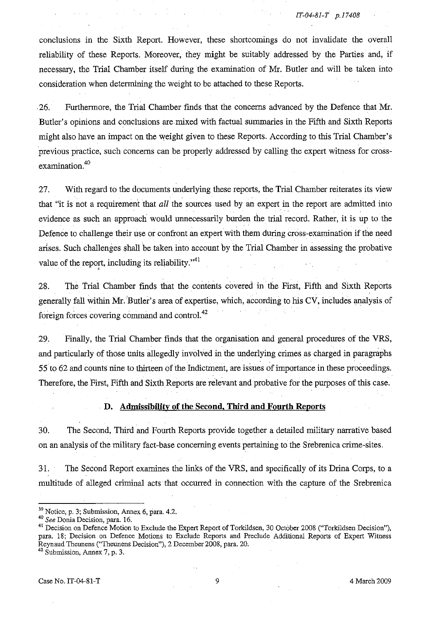conclusions in the Sixth Report. However, these shortcomings do not invalidate the overall reliability of these Reports. Moreover, they might be suitably addressed by the Parties and, if necessary, the Trial Chamber itself during the examination of Mr. Butler and will be taken into consideration when determining the weight to be attached to these Reports.

26. Furthermore, the Trial Chamber finds that the concerns advanced by the Defence that Mr. Butler's opinions and conclusions are mixed with factual summaries in the Fifth and Sixth Reports might also have an impact on the weight given to these Reports. According to this Trial Chamber's previous practice, such concerns can be properly addressed by calling the expert witness for crossexamination.<sup>40</sup>

27. With regard to the documents underlying these reports, the Trial Chamber reiterates its view that "it is not a requirement that *all* the sources used by an expert in the report are admitted into evidence as such an approach would unnecessarily burden the trial record. Rather, it is up to the Defence to challenge their use or confront an expert with them during cross-examination if the need arises. Such challenges shall be taken into account by the Trial Chamber in assessing the probative value of the report, including its reliability. $v^{41}$ 

28. The Trial Chamber finds that the contents covered in the First, Fifth and Sixth Reports generally fall within Mr. Butler's area of expertise, which, according to his CV, includes analysisof foreign forces covering command and contro1.<sup>42</sup>

29. Finally, the Trial Chamber finds that the organisation and general procedures of the VRS, and particularly of those units allegedly involved in the underlying crimes as charged in paragraphs 55 to 62 and counts nine to thirteen of the Indictment, are issues of importance in these proceedings. Therefore, the First, Fifth and Sixth Reports are relevant and probative for the purposes of this case.

#### **D. Admissibility of the Second. Third and Fourth Reports**

30. The Second, Third and Fourth Reports provide together a detailed military narrative based on an analysis of the military fact-base concerning events pertaining to the Srebrenica crime-sites.

31. The Second Report examines the links of the VRS, and specifically of its Drina Corps, to a multitude of alleged criminal acts that occurred in connection with the capture of the Srebrenica

<sup>39</sup> Notice, p. 3; Submission, Annex 6, para. 4.2.

*<sup>40</sup> See* Donia Decision, para. 16.

<sup>&</sup>lt;sup>41</sup> Decision on Defence Motion to Exclude the Expert Report of Torkildsen, 30 October 2008 ("Torkildsen Decision"), para. 18; Decision on Defence Motions to Exclude Reports and Preclude Additional Reports of Expert Witness Reynaud Theunens ("Theunens Decision"), 2 December 2008, para. 20. **42 Submission, Annex 7, p. 3.**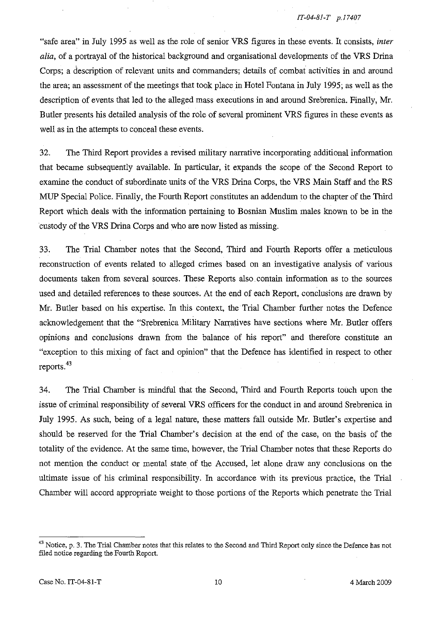"safe area" in July 1995 as well as the role of senior VRS figures in these events. It consists, *inter alia,* of a portrayal of the historical background and organisational developments of the VRS Drina Corps; a description of relevant units and commanders; details of combat activities in and around the area; an assessment of the meetings that took place in Hotel Fontana in July 1995; as well as the description of events that led to the alleged mass executions in and around Srebrenica. Finally, Mr. Butler presents his detailed analysis of the role of several prominent VRS figures in these events as well as in the attempts to conceal these events.

32. The Third Report provides a revised military narrative incorporating additional information that became subsequently available. In particular, it expands the scope of the Second Report to examine the conduct of subordinate units of the VRS Drina Corps, the VRS Main Staff and the RS MUP Special Police. Finally, the Fourth Report constitutes an addendum to the chapter of the Third Report which deals with the information pertaining to Bosnian Muslim males known to be in the custody of the VRS Drina Corps and who are now listed as missing.

33. The Trial Chamber notes that the Second, Third and Fourth Reports offer a meticulous reconstruction of events related to alleged crimes based on an investigative analysis of various documents taken from several sources. These Reports also contain information as to the sources used and detailed references to these sources. At the end of each Report, conclusions are drawn by Mr. Butler based on his expertise. In this context, the Trial Chamber further notes the Defence acknowledgement that the "Srebrenica Military Narratives have sections where Mr. Butler offers opinions and conclusions drawn from the balance of his report" and therefore constitute an "exception to this mixing of fact and opinion" that the Defence has identified in respect to other reports. $43$ 

34. The Trial Chamber is mindful that the Second, Third and Fourth Reports touch upon the issue of criminal responsibility of several VRS officers for the conduct in and around Srebrenica in July 1995. As such, being of a legal nature, these matters fall outside Mr. Butler's expertise and should be reserved for the Trial Chamber's decision at the end of the case, on the basis of the totality of the evidence. At the same time, however, the Trial Chamber notes that these Reports do not mention the conduct or mental state of the Accused, let alone draw any conclusions on the ultimate issue of his criminal responsibility. In accordance with its previous practice, the Trial Chamber will accord appropriate weight to those portions of the Reports which penetrate the Trial

<sup>&</sup>lt;sup>43</sup> Notice, p. 3. The Trial Chamber notes that this relates to the Second and Third Report only since the Defence has not filed notice regarding the Fourth Report.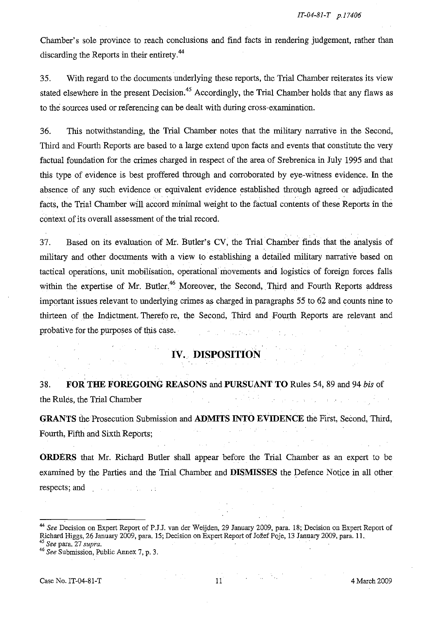Chamber's sole province to reach conclusions and find facts in rendering judgement, rather than discarding the Reports in their entirety.<sup>44</sup>

35. With regard to the documents underlying these reports, the Trial Chamber reiterates its view stated elsewhere in the present Decision.<sup>45</sup> Accordingly, the Trial Chamber holds that any flaws as to the sources used or referencing can be dealt with during cross-examination.

36. This notwithstanding, the Trial Chamber notes that the military narrative in the Second, Third and Fourth Reports are based to a large extend upon facts and events that constitute the very factual foundation for the crimes charged in respect of the area of Srebrenica in July 1995 and that this type of evidence is best proffered through and corroborated by eye-witness evidence. In the absence of any such evidence or equivalent evidence established through agreed or adjudicated thstanding, the Trial Chamber notes that the military narrative Reports are based to a large extend upon facts and events that confor the crimes charged in respect of the area of Srebrenica in July ace is best proffered th facts, the Trial Chamber will accord minimal weight to the factual contents of these Reports in the context of its overall assessment of the trial record.

37. Based on its evaluation of Mr. Butler's CV, the Trial Chamber finds that the analysis of military and other documents with a view to establishing a detailed military narrative based on tactical operations, unit mobilisation, operational movements and logistics of foreign forces falls within the expertise of Mr. Butler.<sup>46</sup> Moreover, the Second, Third and Fourth Reports address important issues relevant to underlying crimes as charged in paragraphs 55 to 62 and counts nine to thirteen of the Indictment. Therefo re, the Second, Third and. Fourth Reports are relevant and probative for the purposes of this case.

# **IV. DISPOSITION**

38. **FOR THE FOREGOING REASONS andPURSUANT TO** Rules 54, 89 and 94 *his* of the Rules, the Trial Chamber

**GRANTS** the Prosecution Submission and **ADMITS INTO EVIDENCE** the First, Second, Third, Fourth, Fifth and Sixth Reports;

**ORDERS** that Mr. Richard Butler shall appear before the Trial Chamber as an expert to be examined by the Parties and the Trial Chamber and **DISMISSES** the Defence Notice in all other respects; and

*<sup>44</sup> See* Decision on Expert Report of P.J.J. van der Weijden, 29 January 2009, para. 18; Decision on Expert Report of Richard Higgs, 26 January 2009, para. 15; Decision on Expert Report of Jožef Poje, 13 January 2009, para. 11.<br><sup>45</sup> See para. 27 *supra*.

<sup>&</sup>lt;sup>46</sup> See Submission, Public Annex 7, p. 3.